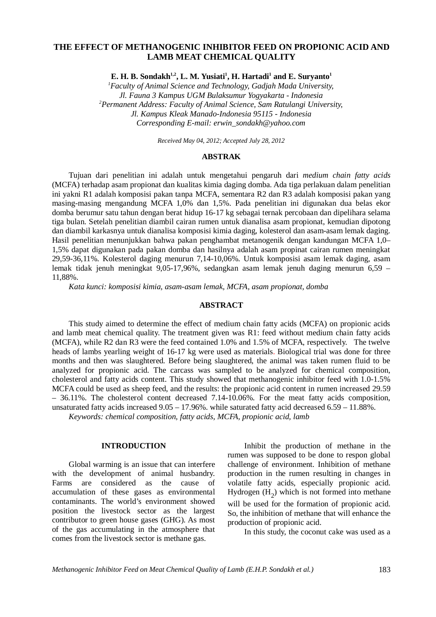# **THE EFFECT OF METHANOGENIC INHIBITOR FEED ON PROPIONIC ACID AND LAMB MEAT CHEMICAL QUALITY**

**E. H. B. Sondakh1,2, L. M. Yusiati<sup>1</sup> , H. Hartadi<sup>1</sup> and E. Suryanto<sup>1</sup>**

*<sup>1</sup>Faculty of Animal Science and Technology, Gadjah Mada University, Jl. Fauna 3 Kampus UGM Bulaksumur Yogyakarta - Indonesia <sup>2</sup>Permanent Address: Faculty of Animal Science, Sam Ratulangi University, Jl. Kampus Kleak Manado-Indonesia 95115 - Indonesia Corresponding E-mail: erwin\_sondakh@yahoo.com*

*Received May 04, 2012; Accepted July 28, 2012*

#### **ABSTRAK**

Tujuan dari penelitian ini adalah untuk mengetahui pengaruh dari *medium chain fatty acids* (MCFA) terhadap asam propionat dan kualitas kimia daging domba. Ada tiga perlakuan dalam penelitian ini yakni R1 adalah komposisi pakan tanpa MCFA, sementara R2 dan R3 adalah komposisi pakan yang masing-masing mengandung MCFA 1,0% dan 1,5%. Pada penelitian ini digunakan dua belas ekor domba berumur satu tahun dengan berat hidup 16-17 kg sebagai ternak percobaan dan dipelihara selama tiga bulan. Setelah penelitian diambil cairan rumen untuk dianalisa asam propionat, kemudian dipotong dan diambil karkasnya untuk dianalisa komposisi kimia daging, kolesterol dan asam-asam lemak daging. Hasil penelitian menunjukkan bahwa pakan penghambat metanogenik dengan kandungan MCFA 1,0– 1,5% dapat digunakan pada pakan domba dan hasilnya adalah asam propinat cairan rumen meningkat 29,59-36,11%. Kolesterol daging menurun 7,14-10,06%. Untuk komposisi asam lemak daging, asam lemak tidak jenuh meningkat 9,05-17,96%, sedangkan asam lemak jenuh daging menurun 6,59 – 11,88%.

*Kata kunci: komposisi kimia, asam-asam lemak, MCFA, asam propionat, domba*

#### **ABSTRACT**

This study aimed to determine the effect of medium chain fatty acids (MCFA) on propionic acids and lamb meat chemical quality. The treatment given was R1: feed without medium chain fatty acids (MCFA), while R2 dan R3 were the feed contained 1.0% and 1.5% of MCFA, respectively. The twelve heads of lambs yearling weight of 16-17 kg were used as materials. Biological trial was done for three months and then was slaughtered. Before being slaughtered, the animal was taken rumen fluid to be analyzed for propionic acid. The carcass was sampled to be analyzed for chemical composition, cholesterol and fatty acids content. This study showed that methanogenic inhibitor feed with 1.0-1.5% MCFA could be used as sheep feed, and the results: the propionic acid content in rumen increased 29.59 – 36.11%. The cholesterol content decreased 7.14-10.06%. For the meat fatty acids composition, unsaturated fatty acids increased 9.05 – 17.96%. while saturated fatty acid decreased 6.59 – 11.88%.

*Keywords: chemical composition, fatty acids, MCFA, propionic acid, lamb*

### **INTRODUCTION**

Global warming is an issue that can interfere with the development of animal husbandry. Farms are considered as the cause of accumulation of these gases as environmental contaminants. The world's environment showed position the livestock sector as the largest contributor to green house gases (GHG). As most of the gas accumulating in the atmosphere that comes from the livestock sector is methane gas.

Inhibit the production of methane in the rumen was supposed to be done to respon global challenge of environment. Inhibition of methane production in the rumen resulting in changes in volatile fatty acids, especially propionic acid. Hydrogen  $(H_2)$  which is not formed into methane will be used for the formation of propionic acid. So, the inhibition of methane that will enhance the production of propionic acid.

In this study, the coconut cake was used as a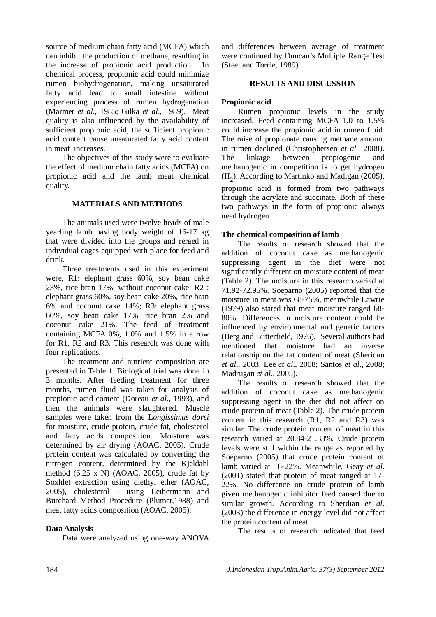source of medium chain fatty acid (MCFA) which can inhibit the production of methane, resulting in the increase of propionic acid production. In chemical process, propionic acid could minimize rumen biohydrogenation, making unsaturated fatty acid lead to small intestine without experiencing process of rumen hydrogenation (Marmer *et al*., 1985; Gilka *et al*., 1989). Meat quality is also influenced by the availability of sufficient propionic acid, the sufficient propionic acid content cause unsaturated fatty acid content in meat increases.

The objectives of this study were to evaluate the effect of medium chain fatty acids (MCFA) on propionic acid and the lamb meat chemical quality.

### **MATERIALS AND METHODS**

The animals used were twelve heads of male yearling lamb having body weight of 16-17 kg that were divided into the groups and reraed in individual cages equipped with place for feed and drink.

Three treatments used in this experiment were, R1: elephant grass 60%, soy bean cake 23%, rice bran 17%, without coconut cake; R2 : elephant grass 60%, soy bean cake 20%, rice bran 6% and coconut cake 14%; R3: elephant grass 60%, soy bean cake 17%, rice bran 2% and coconut cake 21%. The feed of treatment containing MCFA 0%, 1.0% and 1.5% in a row for R1, R2 and R3. This research was done with four replications.

The treatment and nutrient composition are presented in Table 1. Biological trial was done in 3 months. After feeding treatment for three months, rumen fluid was taken for analysis of propionic acid content (Doreau *et al*., 1993), and then the animals were slaughtered. Muscle samples were taken from the L*ongissimus dorsi* for moisture, crude protein, crude fat, cholesterol and fatty acids composition. Moisture was determined by air drying (AOAC, 2005). Crude protein content was calculated by converting the nitrogen content, determined by the Kjeldahl method (6.25 x N) (AOAC, 2005), crude fat by Soxhlet extraction using diethyl ether (AOAC, 2005), cholesterol - using Leibermann and Burchard Method Procedure (Plumer,1988) and meat fatty acids composition (AOAC, 2005).

## **Data Analysis**

Data were analyzed using one-way ANOVA

and differences between average of treatment were continued by Duncan's Multiple Range Test (Steel and Torrie, 1989).

## **RESULTS AND DISCUSSION**

## **Propionic acid**

Rumen propionic levels in the study increased. Feed containing MCFA 1.0 to 1.5% could increase the propionic acid in rumen fluid. The raise of propionate causing methane amount in rumen declined (Christophersen *et al.*, 2008). The linkage between propiogenic and methanogenic in competition is to get hydrogen  $(H<sub>2</sub>)$ . According to Martinko and Madigan (2005), propionic acid is formed from two pathways through the acrylate and succinate. Both of these two pathways in the form of propionic always need hydrogen.

## **The chemical composition of lamb**

The results of research showed that the addition of coconut cake as methanogenic suppressing agent in the diet were not significantly different on moisture content of meat (Table 2). The moisture in this research varied at 71.92-72.95%. Soeparno (2005) reported that the moisture in meat was 68-75%, meanwhile Lawrie (1979) also stated that meat moisture ranged 68- 80%. Differences in moisture content could be influenced by environmental and genetic factors (Berg and Butterfield, 1976). Several authors had mentioned that moisture had an inverse relationship on the fat content of meat (Sheridan *et al*., 2003; Lee *et al*., 2008; Santos *et al*., 2008; Madrugan *et al*., 2005).

The results of research showed that the addition of coconut cake as methanogenic suppressing agent in the diet did not affect on crude protein of meat (Table 2). The crude protein content in this research (R1, R2 and R3) was similar. The crude protein content of meat in this research varied at 20.84-21.33%. Crude protein levels were still within the range as reported by Soeparno (2005) that crude protein content of lamb varied at 16-22%. Meanwhile, Geay *et al*. (2001) stated that protein of meat ranged at 17- 22%. No difference on crude protein of lamb given methanogenic inhibitor feed caused due to similar growth. According to Sherdian *et al*. (2003) the difference in energy level did not affect the protein content of meat.

The results of research indicated that feed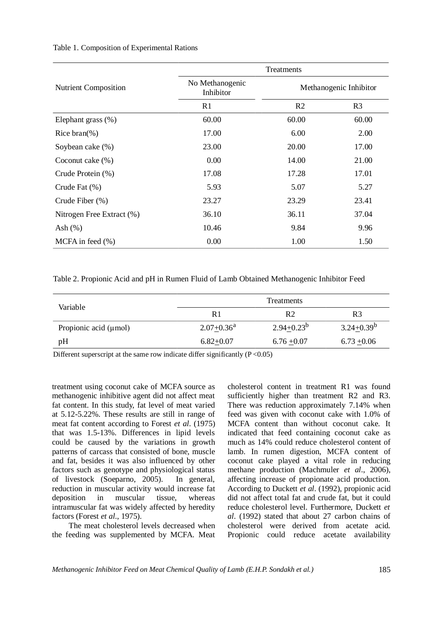| <b>Nutrient Composition</b> | Treatments                         |                        |                |
|-----------------------------|------------------------------------|------------------------|----------------|
|                             | No Methanogenic<br>Inhibitor<br>R1 | Methanogenic Inhibitor |                |
|                             |                                    | R <sub>2</sub>         | R <sub>3</sub> |
| Elephant grass (%)          | 60.00                              | 60.00                  | 60.00          |
| Rice bran $(\%)$            | 17.00                              | 6.00                   | 2.00           |
| Soybean cake (%)            | 23.00                              | 20.00                  | 17.00          |
| Coconut cake $(\%)$         | 0.00                               | 14.00                  | 21.00          |
| Crude Protein (%)           | 17.08                              | 17.28                  | 17.01          |
| Crude Fat (%)               | 5.93                               | 5.07                   | 5.27           |
| Crude Fiber (%)             | 23.27                              | 23.29                  | 23.41          |
| Nitrogen Free Extract (%)   | 36.10                              | 36.11                  | 37.04          |
| Ash $(\%)$                  | 10.46                              | 9.84                   | 9.96           |
| MCFA in feed $(\% )$        | 0.00                               | 1.00                   | 1.50           |

#### Table 1. Composition of Experimental Rations

Table 2. Propionic Acid and pH in Rumen Fluid of Lamb Obtained Methanogenic Inhibitor Feed

|                            | <b>Treatments</b> |                 |                 |
|----------------------------|-------------------|-----------------|-----------------|
| Variable                   | R1                | R <sub>2</sub>  | R3              |
| Propionic acid $(\mu$ mol) | $2.07 + 0.36^a$   | $2.94 + 0.23^b$ | $3.24 + 0.39^b$ |
| pН                         | $6.82+0.07$       | $6.76 + 0.07$   | $6.73 + 0.06$   |

Different superscript at the same row indicate differ significantly  $(P < 0.05)$ 

treatment using coconut cake of MCFA source as methanogenic inhibitive agent did not affect meat fat content. In this study, fat level of meat varied at 5.12-5.22%. These results are still in range of meat fat content according to Forest *et al*. (1975) that was 1.5-13%. Differences in lipid levels could be caused by the variations in growth patterns of carcass that consisted of bone, muscle and fat, besides it was also influenced by other factors such as genotype and physiological status of livestock (Soeparno, 2005). In general, reduction in muscular activity would increase fat deposition in muscular tissue, whereas intramuscular fat was widely affected by heredity factors (Forest *et al*., 1975).

The meat cholesterol levels decreased when the feeding was supplemented by MCFA. Meat cholesterol content in treatment R1 was found sufficiently higher than treatment R2 and R3. There was reduction approximately 7.14% when feed was given with coconut cake with 1.0% of MCFA content than without coconut cake. It indicated that feed containing coconut cake as much as 14% could reduce cholesterol content of lamb. In rumen digestion, MCFA content of coconut cake played a vital role in reducing methane production (Machmuler *et al*., 2006), affecting increase of propionate acid production. According to Duckett *et al*. (1992), propionic acid did not affect total fat and crude fat, but it could reduce cholesterol level. Furthermore, Duckett *et al*. (1992) stated that about 27 carbon chains of cholesterol were derived from acetate acid. Propionic could reduce acetate availability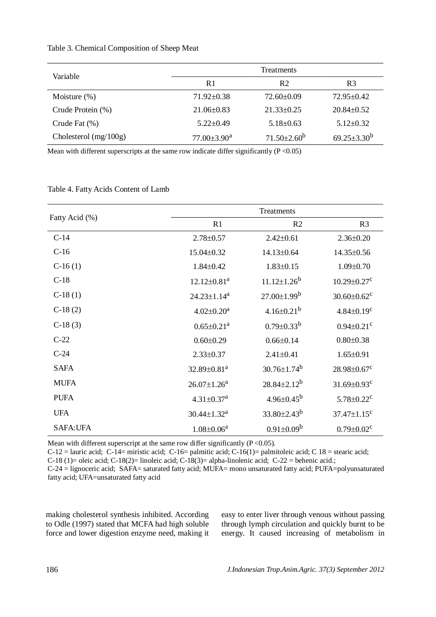| Variable                | <b>Treatments</b>             |                    |                    |
|-------------------------|-------------------------------|--------------------|--------------------|
|                         | R <sub>1</sub>                | R <sub>2</sub>     | R3                 |
| Moisture $(\%)$         | $71.92 \pm 0.38$              | $72.60 \pm 0.09$   | $72.95 \pm 0.42$   |
| Crude Protein (%)       | $21.06\pm0.83$                | $21.33 \pm 0.25$   | $20.84 \pm 0.52$   |
| Crude Fat (%)           | $5.22 \pm 0.49$               | $5.18 \pm 0.63$    | $5.12 \pm 0.32$    |
| Cholesterol $(mg/100g)$ | $77.00 \pm 3.90^{\mathrm{a}}$ | $71.50 \pm 2.60^b$ | $69.25 \pm 3.30^b$ |

## Table 3. Chemical Composition of Sheep Meat

Mean with different superscripts at the same row indicate differ significantly  $(P < 0.05)$ 

| Fatty Acid (%)  | Treatments                    |                               |                               |
|-----------------|-------------------------------|-------------------------------|-------------------------------|
|                 | R1                            | R <sub>2</sub>                | R <sub>3</sub>                |
| $C-14$          | $2.78 \pm 0.57$               | $2.42 \pm 0.61$               | $2.36 \pm 0.20$               |
| $C-16$          | 15.04±0.32                    | 14.13±0.64                    | 14.35±0.56                    |
| $C-16(1)$       | $1.84 \pm 0.42$               | $1.83 \pm 0.15$               | $1.09 \pm 0.70$               |
| $C-18$          | $12.12 \pm 0.81$ <sup>a</sup> | $11.12 \pm 1.26^b$            | $10.29 \pm 0.27$ <sup>c</sup> |
| $C-18(1)$       | $24.23 \pm 1.14^a$            | $27.00 \pm 1.99^b$            | $30.60 \pm 0.62$ <sup>c</sup> |
| $C-18(2)$       | $4.02 \pm 0.20^a$             | $4.16 \pm 0.21^{b}$           | $4.84 \pm 0.19$ <sup>c</sup>  |
| $C-18(3)$       | $0.65 \pm 0.21$ <sup>a</sup>  | $0.79 \pm 0.33^b$             | $0.94 \pm 0.21$ <sup>c</sup>  |
| $C-22$          | $0.60 \pm 0.29$               | $0.66 \pm 0.14$               | $0.80 \pm 0.38$               |
| $C-24$          | $2.33 \pm 0.37$               | $2.41 \pm 0.41$               | $1.65 \pm 0.91$               |
| <b>SAFA</b>     | $32.89 \pm 0.81$ <sup>a</sup> | $30.76 \pm 1.74$ <sup>b</sup> | $28.98 \pm 0.67$ <sup>c</sup> |
| <b>MUFA</b>     | $26.07 \pm 1.26^a$            | $28.84 \pm 2.12^b$            | $31.69 \pm 0.93$ <sup>c</sup> |
| <b>PUFA</b>     | $4.31 \pm 0.37$ <sup>a</sup>  | $4.96 \pm 0.45^b$             | $5.78 \pm 0.22$ <sup>c</sup>  |
| <b>UFA</b>      | $30.44 \pm 1.32$ <sup>a</sup> | $33.80 \pm 2.43^b$            | $37.47 \pm 1.15$ <sup>c</sup> |
| <b>SAFA:UFA</b> | $1.08 \pm 0.06^a$             | $0.91 \pm 0.09^b$             | $0.79 \pm 0.02$ <sup>c</sup>  |

Table 4. Fatty Acids Content of Lamb

Mean with different superscript at the same row differ significantly  $(P < 0.05)$ .

 $C-12$  = lauric acid;  $C-14$  = miristic acid;  $C-16$  = palmitic acid;  $C-16(1)$  = palmitoleic acid; C 18 = stearic acid;

C-18 (1)= oleic acid; C-18(2)= linoleic acid; C-18(3)= alpha-linolenic acid; C-22 = behenic acid.;

C-24 = lignoceric acid; SAFA= saturated fatty acid; MUFA= mono unsaturated fatty acid; PUFA=polyunsaturated fatty acid; UFA=unsaturated fatty acid

making cholesterol synthesis inhibited. According to Odle (1997) stated that MCFA had high soluble force and lower digestion enzyme need, making it easy to enter liver through venous without passing through lymph circulation and quickly burnt to be energy. It caused increasing of metabolism in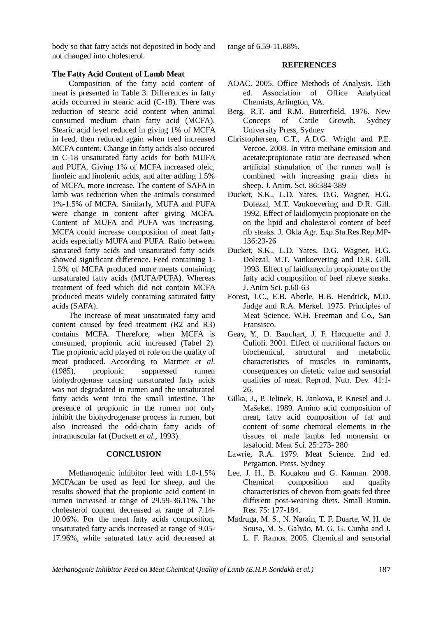*Methanogenic Inhibitor Feed on Meat Chemical Quality of Lamb (E.H.P. Sondakh et al.)* 187

body so that fatty acids not deposited in body and not changed into cholesterol.

## **The Fatty Acid Content of Lamb Meat**

Composition of the fatty acid content of meat is presented in Table 3. Differences in fatty acids occurred in stearic acid (C-18). There was reduction of stearic acid content when animal consumed medium chain fatty acid (MCFA). Stearic acid level reduced in giving 1% of MCFA in feed, then reduced again when feed increased MCFA content. Change in fatty acids also occured in C-18 unsaturated fatty acids for both MUFA and PUFA. Giving 1% of MCFA increased oleic, linoleic and linolenic acids, and after adding 1.5% of MCFA, more increase. The content of SAFA in lamb was reduction when the animals consumed 1%-1.5% of MCFA. Similarly, MUFA and PUFA were change in content after giving MCFA. Content of MUFA and PUFA was increasing. MCFA could increase composition of meat fatty acids especially MUFA and PUFA. Ratio between saturated fatty acids and unsaturated fatty acids showed significant difference. Feed containing 1- 1.5% of MCFA produced more meats containing unsaturated fatty acids (MUFA/PUFA). Whereas treatment of feed which did not contain MCFA produced meats widely containing saturated fatty acids (SAFA).

The increase of meat unsaturated fatty acid content caused by feed treatment (R2 and R3) contains MCFA. Therefore, when MCFA is consumed, propionic acid increased (Tabel 2). The propionic acid played of role on the quality of meat produced. According to Marmer *et al*. (1985), propionic suppressed rumen biohydrogenase causing unsaturated fatty acids was not degradated in rumen and the unsaturated fatty acids went into the small intestine. The presence of propionic in the rumen not only inhibit the biohydrogenase process in rumen, but also increased the odd-chain fatty acids of intramuscular fat (Duckett *et al.,* 1993).

#### **CONCLUSION**

Methanogenic inhibitor feed with 1.0-1.5% MCFAcan be used as feed for sheep, and the results showed that the propionic acid content in rumen increased at range of 29.59-36.11%. The cholesterol content decreased at range of 7.14- 10.06%. For the meat fatty acids composition, unsaturated fatty acids increased at range of 9.05- 17.96%, while saturated fatty acid decreased at range of 6.59-11.88%.

#### **REFERENCES**

- AOAC. 2005. Office Methods of Analysis. 15th ed. Association of Office Analytical Chemists, Arlington, VA.
- Berg, R.T. and R.M. Butterfield, 1976. New Conceps of Cattle Growth. Sydney University Press, Sydney
- Christophersen, C.T., A.D.G. Wright and P.E. Vercoe. 2008. In vitro methane emission and acetate:propionate ratio are decreased when artificial stimulation of the rumen wall is combined with increasing grain diets in sheep. J. Anim. Sci*.* 86:384-389
- Ducket, S.K., L.D. Yates, D.G. Wagner, H.G. Dolezal, M.T. Vankoevering and D.R. Gill. 1992. Effect of laidlomycin propionate on the on the lipid and cholesterol content of beef rib steaks. J. Okla Agr. Exp.Sta.Res.Rep.MP-136:23-26
- Ducket, S.K., L.D. Yates, D.G. Wagner, H.G. Dolezal, M.T. Vankoevering and D.R. Gill. 1993. Effect of laidlomycin propionate on the fatty acid composition of beef ribeye steaks. J. Anim Sci. p.60-63
- Forest, J.C., E.B. Aberle, H.B. Hendrick, M.D. Judge and R.A. Merkel. 1975. Principles of Meat Science. W.H. Freeman and Co., San Fransisco.
- Geay, Y., D. Bauchart, J. F. Hocquette and J. Culioli. 2001. Effect of nutritional factors on biochemical, structural and metabolic characteristics of muscles in ruminants, consequences on dietetic value and sensorial qualities of meat. Reprod. Nutr. Dev. 41:1- 26.
- Gilka, J., P. Jelinek, B. Jankova, P. Knesel and J. Mašeket. 1989. Amino acid composition of meat, fatty acid composition of fat and content of some chemical elements in the tissues of male lambs fed monensin or lasalocid. Meat Sci. 25:273- 280
- Lawrie, R.A. 1979. Meat Science. 2nd ed. Pergamon. Press. Sydney
- Lee, J. H., B. Kouakou and G. Kannan. 2008. Chemical composition and quality characteristics of chevon from goats fed three different post-weaning diets. Small Rumin. Res. 75: 177-184.
- Madruga, M. S., N. Narain, T. F. Duarte, W. H. de Sousa, M. S. Galvão, M. G. G. Cunha and J. L. F. Ramos. 2005. Chemical and sensorial